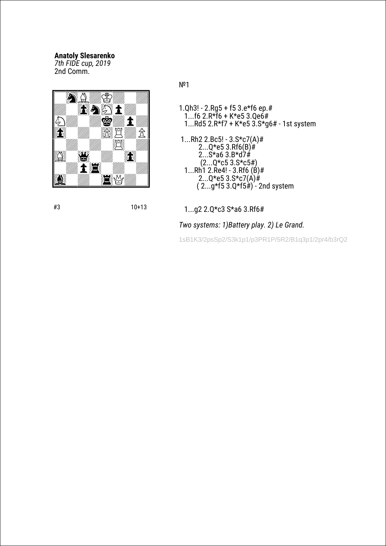## **Anatoly Slesarenko**

*7th FIDE cup, 2019* 2nd Сomm.



№1

- 1.Qh3! 2.Rg5 + f5 3.e\*f6 ep.# 1...f6 2.R\*f6 + K\*e5 3.Qe6# 1...Rd5 2.R\*f7 + K\*e5 3.S\*g6# - 1st system
- 1...Rh2 2.Bc5! 3.S\*c7(A)# 2...Q\*e5 3.Rf6(B)# 2...S\*a6 3.B\*d7# (2...Q\*c5 3.S\*c5#) 1...Rh1 2.Re4! - 3.Rf6 (B)# 2...Q\*e5 3.S\*c7(A)#  $(2...g*53.0*5*) - 2nd$  system

#3 10+13

# 1...g2 2.Q\*c3 S\*a6 3.Rf6#

*Two systems: 1)Battery play. 2) Le Grand.*

1sB1K3/2psSp2/S3k1p1/p3PR1P/5R2/B1q3p1/2pr4/b3rQ2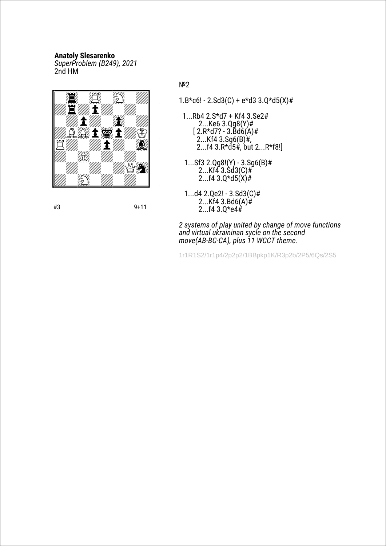## **Anatoly Slesarenko**

*SuperProblem (B249), 2021* 2nd HM



№2

- $1.B*cb! 2.Sd3(C) + e*d33.Q*d5(X)$ #
- 1...Rb4 2.S\*d7 + Kf4 3.Se2# 2...Ke6 3.Qg8(Y)#  $[$  2.R\*d7? - 3.Bd6(A)# 2...Kf4  $3.$ Sg6(B) $#$ ,  $2...f4$   $3.R*d5#$ , but  $2...R*f8!$
- 1...Sf3 2.Qg8!(Y) 3.Sg6(B)#  $2...Kf\ddot{4}$  3.Sd $3(C)$ #  $2...f4$   $3.Q*d5(X)$ #
- 1...d4 2.Qe2! 3.Sd3(C)#  $2...Kf4 \cdot 3.Bd6(A)$ # 2...f4 3.Q\*e4#

*2 systems of play united by change of move functions and virtual ukraininan sycle on the second move(AB-BC-CA), plus 11 WCCT theme.*

1r1R1S2/1r1p4/2p2p2/1BBpkp1K/R3p2b/2P5/6Qs/2S5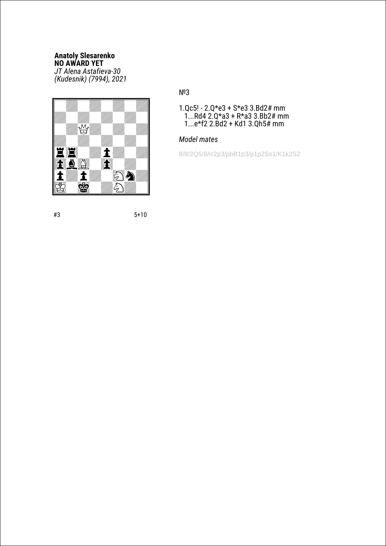#### **Anatoly Slesarenko NO AWARD YET** *JT Alena Astafieva-30 (Kudesnik) (7994), 2021*



# №3

1.Qc5! - 2.Q\*e3 + S\*e3 3.Bd2# mm 1...Rd4 2.Q\*a3 + R\*a3 3.Bb2# mm 1...e\*f2 2.Bd2 + Kd1 3.Qh5# mm

# *Model mates*

8/8/2Q5/8/rr2p3/pbB1p3/p1p2Ss1/K1k2S2

#3 5+10